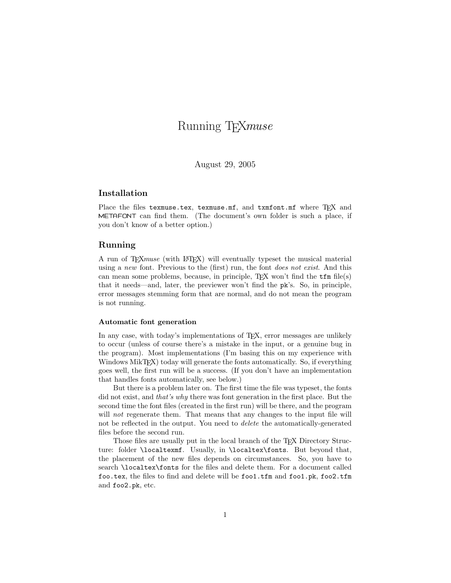# Running TEXmuse

August 29, 2005

## Installation

Place the files texmuse.tex, texmuse.mf, and txmfont.mf where TFX and METAFONT can find them. (The document's own folder is such a place, if you don't know of a better option.)

## Running

A run of TEXmuse (with LATEX) will eventually typeset the musical material using a new font. Previous to the (first) run, the font does not exist. And this can mean some problems, because, in principle,  $T_F X$  won't find the  $t f m$  file(s) that it needs—and, later, the previewer won't find the pk's. So, in principle, error messages stemming form that are normal, and do not mean the program is not running.

#### Automatic font generation

In any case, with today's implementations of T<sub>E</sub>X, error messages are unlikely to occur (unless of course there's a mistake in the input, or a genuine bug in the program). Most implementations (I'm basing this on my experience with Windows MikT<sub>F</sub>X) today will generate the fonts automatically. So, if everything goes well, the first run will be a success. (If you don't have an implementation that handles fonts automatically, see below.)

But there is a problem later on. The first time the file was typeset, the fonts did not exist, and that's why there was font generation in the first place. But the second time the font files (created in the first run) will be there, and the program will *not* regenerate them. That means that any changes to the input file will not be reflected in the output. You need to *delete* the automatically-generated files before the second run.

Those files are usually put in the local branch of the T<sub>E</sub>X Directory Structure: folder \localtexmf. Usually, in \localtex\fonts. But beyond that, the placement of the new files depends on circumstances. So, you have to search \localtex\fonts for the files and delete them. For a document called foo.tex, the files to find and delete will be foo1.tfm and foo1.pk, foo2.tfm and foo2.pk, etc.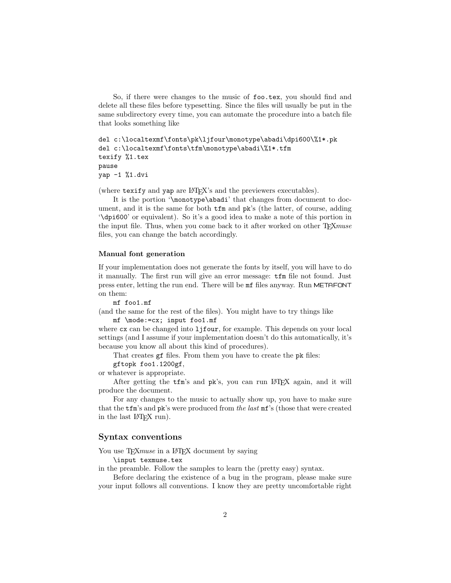So, if there were changes to the music of foo.tex, you should find and delete all these files before typesetting. Since the files will usually be put in the same subdirectory every time, you can automate the procedure into a batch file that looks something like

```
del c:\localtexmf\fonts\pk\ljfour\monotype\abadi\dpi600\%1*.pk
del c:\localtexmf\fonts\tfm\monotype\abadi\%1*.tfm
texify %1.tex
pause
yap -1 %1.dvi
```
(where texify and yap are LATEX's and the previewers executables).

It is the portion '\monotype\abadi' that changes from document to document, and it is the same for both tfm and pk's (the latter, of course, adding '\dpi600' or equivalent). So it's a good idea to make a note of this portion in the input file. Thus, when you come back to it after worked on other TEXmuse files, you can change the batch accordingly.

### Manual font generation

If your implementation does not generate the fonts by itself, you will have to do it manually. The first run will give an error message: tfm file not found. Just press enter, letting the run end. There will be mf files anyway. Run METAFONT on them:

mf foo1.mf

(and the same for the rest of the files). You might have to try things like mf \mode:=cx; input foo1.mf

where  $cx$  can be changed into  $1j$  four, for example. This depends on your local settings (and I assume if your implementation doesn't do this automatically, it's because you know all about this kind of procedures).

That creates gf files. From them you have to create the pk files:

gftopk foo1.1200gf,

or whatever is appropriate.

After getting the tfm's and pk's, you can run LATEX again, and it will produce the document.

For any changes to the music to actually show up, you have to make sure that the tfm's and pk's were produced from the last mf's (those that were created in the last IATEX run).

## Syntax conventions

You use T<sub>E</sub>X*muse* in a L<sup>AT</sup>EX document by saying

\input texmuse.tex

in the preamble. Follow the samples to learn the (pretty easy) syntax.

Before declaring the existence of a bug in the program, please make sure your input follows all conventions. I know they are pretty uncomfortable right